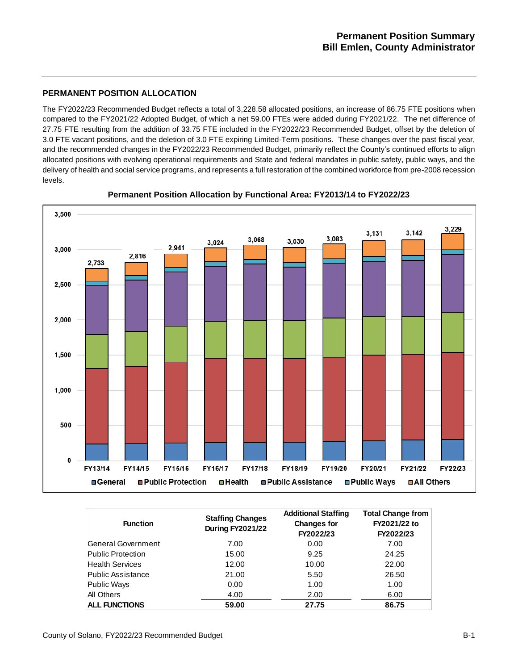## **PERMANENT POSITION ALLOCATION**

The FY2022/23 Recommended Budget reflects a total of 3,228.58 allocated positions, an increase of 86.75 FTE positions when compared to the FY2021/22 Adopted Budget, of which a net 59.00 FTEs were added during FY2021/22. The net difference of 27.75 FTE resulting from the addition of 33.75 FTE included in the FY2022/23 Recommended Budget, offset by the deletion of 3.0 FTE vacant positions, and the deletion of 3.0 FTE expiring Limited-Term positions. These changes over the past fiscal year, and the recommended changes in the FY2022/23 Recommended Budget, primarily reflect the County's continued efforts to align allocated positions with evolving operational requirements and State and federal mandates in public safety, public ways, and the delivery of health and social service programs, and represents a full restoration of the combined workforce from pre-2008 recession levels.



**Permanent Position Allocation by Functional Area: FY2013/14 to FY2022/23**

| <b>Function</b>           | <b>Staffing Changes</b><br><b>During FY2021/22</b> | <b>Additional Staffing</b><br><b>Changes for</b><br>FY2022/23 | <b>Total Change from</b><br>FY2021/22 to<br>FY2022/23 |  |  |
|---------------------------|----------------------------------------------------|---------------------------------------------------------------|-------------------------------------------------------|--|--|
| <b>General Government</b> | 7.00                                               | 0.00                                                          | 7.00                                                  |  |  |
| <b>Public Protection</b>  | 15.00                                              | 9.25                                                          | 24.25                                                 |  |  |
| <b>Health Services</b>    | 12.00                                              | 10.00                                                         | 22.00                                                 |  |  |
| <b>Public Assistance</b>  | 21.00                                              | 5.50                                                          | 26.50                                                 |  |  |
| <b>Public Ways</b>        | 0.00                                               | 1.00                                                          | 1.00                                                  |  |  |
| <b>All Others</b>         | 4.00                                               | 2.00                                                          | 6.00                                                  |  |  |
| <b>ALL FUNCTIONS</b>      | 59.00                                              | 27.75                                                         | 86.75                                                 |  |  |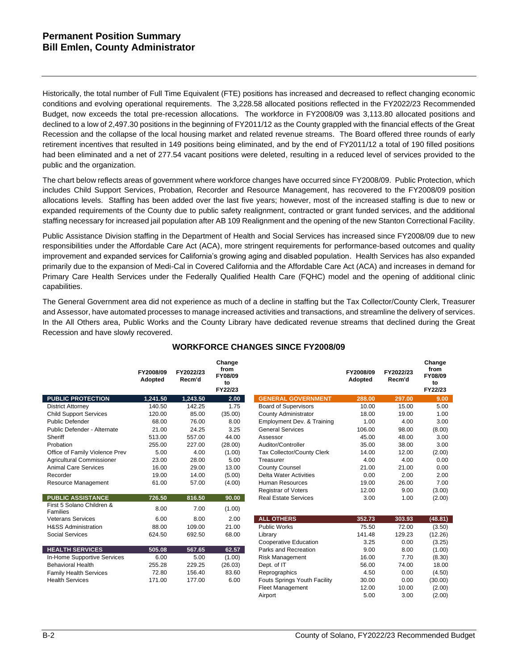Historically, the total number of Full Time Equivalent (FTE) positions has increased and decreased to reflect changing economic conditions and evolving operational requirements. The 3,228.58 allocated positions reflected in the FY2022/23 Recommended Budget, now exceeds the total pre-recession allocations. The workforce in FY2008/09 was 3,113.80 allocated positions and declined to a low of 2,497.30 positions in the beginning of FY2011/12 as the County grappled with the financial effects of the Great Recession and the collapse of the local housing market and related revenue streams. The Board offered three rounds of early retirement incentives that resulted in 149 positions being eliminated, and by the end of FY2011/12 a total of 190 filled positions had been eliminated and a net of 277.54 vacant positions were deleted, resulting in a reduced level of services provided to the public and the organization.

The chart below reflects areas of government where workforce changes have occurred since FY2008/09. Public Protection, which includes Child Support Services, Probation, Recorder and Resource Management, has recovered to the FY2008/09 position allocations levels. Staffing has been added over the last five years; however, most of the increased staffing is due to new or expanded requirements of the County due to public safety realignment, contracted or grant funded services, and the additional staffing necessary for increased jail population after AB 109 Realignment and the opening of the new Stanton Correctional Facility.

Public Assistance Division staffing in the Department of Health and Social Services has increased since FY2008/09 due to new responsibilities under the Affordable Care Act (ACA), more stringent requirements for performance-based outcomes and quality improvement and expanded services for California's growing aging and disabled population. Health Services has also expanded primarily due to the expansion of Medi-Cal in Covered California and the Affordable Care Act (ACA) and increases in demand for Primary Care Health Services under the Federally Qualified Health Care (FQHC) model and the opening of additional clinic capabilities.

The General Government area did not experience as much of a decline in staffing but the Tax Collector/County Clerk, Treasurer and Assessor, have automated processes to manage increased activities and transactions, and streamline the delivery of services. In the All Others area, Public Works and the County Library have dedicated revenue streams that declined during the Great Recession and have slowly recovered.

|                                       | FY2008/09<br>Adopted | FY2022/23<br>Recm'd | Change<br>from<br>FY08/09<br>to<br>FY22/23 |                              | FY2008/09<br>Adopted | FY2022/23<br>Recm'd | Change<br>from<br>FY08/09<br>to<br>FY22/23 |
|---------------------------------------|----------------------|---------------------|--------------------------------------------|------------------------------|----------------------|---------------------|--------------------------------------------|
| <b>PUBLIC PROTECTION</b>              | 1,241.50             | 1,243.50            | 2.00                                       | <b>GENERAL GOVERNMENT</b>    | 288.00               | 297.00              | 9.00                                       |
| <b>District Attorney</b>              | 140.50               | 142.25              | 1.75                                       | <b>Board of Supervisors</b>  | 10.00                | 15.00               | 5.00                                       |
| <b>Child Support Services</b>         | 120.00               | 85.00               | (35.00)                                    | County Administrator         | 18.00                | 19.00               | 1.00                                       |
| <b>Public Defender</b>                | 68.00                | 76.00               | 8.00                                       | Employment Dev. & Training   | 1.00                 | 4.00                | 3.00                                       |
| Public Defender - Alternate           | 21.00                | 24.25               | 3.25                                       | <b>General Services</b>      | 106.00               | 98.00               | (8.00)                                     |
| Sheriff                               | 513.00               | 557.00              | 44.00                                      | Assessor                     | 45.00                | 48.00               | 3.00                                       |
| Probation                             | 255.00               | 227.00              | (28.00)                                    | Auditor/Controller           | 35.00                | 38.00               | 3.00                                       |
| Office of Family Violence Prev        | 5.00                 | 4.00                | (1.00)                                     | Tax Collector/County Clerk   | 14.00                | 12.00               | (2.00)                                     |
| Agricultural Commissioner             | 23.00                | 28.00               | 5.00                                       | Treasurer                    | 4.00                 | 4.00                | 0.00                                       |
| <b>Animal Care Services</b>           | 16.00                | 29.00               | 13.00                                      | <b>County Counsel</b>        | 21.00                | 21.00               | 0.00                                       |
| Recorder                              | 19.00                | 14.00               | (5.00)                                     | Delta Water Activities       | 0.00                 | 2.00                | 2.00                                       |
| Resource Management                   | 61.00                | 57.00               | (4.00)                                     | Human Resources              | 19.00                | 26.00               | 7.00                                       |
|                                       |                      |                     |                                            | Registrar of Voters          | 12.00                | 9.00                | (3.00)                                     |
| <b>PUBLIC ASSISTANCE</b>              | 726.50               | 816.50              | 90.00                                      | <b>Real Estate Services</b>  | 3.00                 | 1.00                | (2.00)                                     |
| First 5 Solano Children &<br>Families | 8.00                 | 7.00                | (1.00)                                     |                              |                      |                     |                                            |
| <b>Veterans Services</b>              | 6.00                 | 8.00                | 2.00                                       | <b>ALL OTHERS</b>            | 352.73               | 303.93              | (48.81)                                    |
| <b>H&amp;SS Administration</b>        | 88.00                | 109.00              | 21.00                                      | <b>Public Works</b>          | 75.50                | 72.00               | (3.50)                                     |
| <b>Social Services</b>                | 624.50               | 692.50              | 68.00                                      | Library                      | 141.48               | 129.23              | (12.26)                                    |
|                                       |                      |                     |                                            | Cooperative Education        | 3.25                 | 0.00                | (3.25)                                     |
| <b>HEALTH SERVICES</b>                | 505.08               | 567.65              | 62.57                                      | Parks and Recreation         | 9.00                 | 8.00                | (1.00)                                     |
| In-Home Supportive Services           | 6.00                 | 5.00                | (1.00)                                     | <b>Risk Management</b>       | 16.00                | 7.70                | (8.30)                                     |
| <b>Behavioral Health</b>              | 255.28               | 229.25              | (26.03)                                    | Dept. of IT                  | 56.00                | 74.00               | 18.00                                      |
| <b>Family Health Services</b>         | 72.80                | 156.40              | 83.60                                      | Reprographics                | 4.50                 | 0.00                | (4.50)                                     |
| <b>Health Services</b>                | 171.00               | 177.00              | 6.00                                       | Fouts Springs Youth Facility | 30.00                | 0.00                | (30.00)                                    |
|                                       |                      |                     |                                            | <b>Fleet Management</b>      | 12.00                | 10.00               | (2.00)                                     |
|                                       |                      |                     |                                            | Airport                      | 5.00                 | 3.00                | (2.00)                                     |

# **WORKFORCE CHANGES SINCE FY2008/09**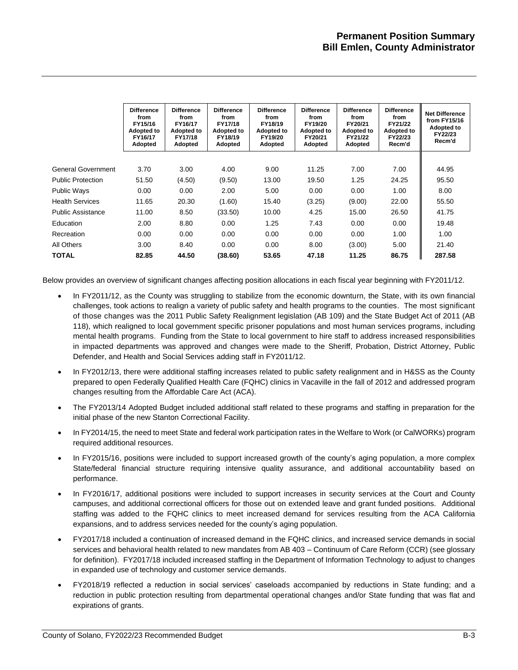|                          | <b>Difference</b><br>from<br>FY15/16<br><b>Adopted to</b><br>FY16/17<br>Adopted | <b>Difference</b><br>from<br>FY16/17<br><b>Adopted to</b><br>FY17/18<br>Adopted | <b>Difference</b><br>from<br>FY17/18<br><b>Adopted to</b><br>FY18/19<br>Adopted | <b>Difference</b><br>from<br>FY18/19<br><b>Adopted to</b><br>FY19/20<br>Adopted | <b>Difference</b><br>from<br>FY19/20<br><b>Adopted to</b><br>FY20/21<br>Adopted | <b>Difference</b><br>from<br>FY20/21<br><b>Adopted to</b><br>FY21/22<br>Adopted | <b>Difference</b><br>from<br>FY21/22<br><b>Adopted to</b><br>FY22/23<br>Recm'd | <b>Net Difference</b><br>from FY15/16<br><b>Adopted to</b><br>FY22/23<br>Recm'd |
|--------------------------|---------------------------------------------------------------------------------|---------------------------------------------------------------------------------|---------------------------------------------------------------------------------|---------------------------------------------------------------------------------|---------------------------------------------------------------------------------|---------------------------------------------------------------------------------|--------------------------------------------------------------------------------|---------------------------------------------------------------------------------|
|                          |                                                                                 |                                                                                 |                                                                                 |                                                                                 |                                                                                 |                                                                                 |                                                                                |                                                                                 |
| General Government       | 3.70                                                                            | 3.00                                                                            | 4.00                                                                            | 9.00                                                                            | 11.25                                                                           | 7.00                                                                            | 7.00                                                                           | 44.95                                                                           |
| <b>Public Protection</b> | 51.50                                                                           | (4.50)                                                                          | (9.50)                                                                          | 13.00                                                                           | 19.50                                                                           | 1.25                                                                            | 24.25                                                                          | 95.50                                                                           |
| <b>Public Ways</b>       | 0.00                                                                            | 0.00                                                                            | 2.00                                                                            | 5.00                                                                            | 0.00                                                                            | 0.00                                                                            | 1.00                                                                           | 8.00                                                                            |
| <b>Health Services</b>   | 11.65                                                                           | 20.30                                                                           | (1.60)                                                                          | 15.40                                                                           | (3.25)                                                                          | (9.00)                                                                          | 22.00                                                                          | 55.50                                                                           |
| <b>Public Assistance</b> | 11.00                                                                           | 8.50                                                                            | (33.50)                                                                         | 10.00                                                                           | 4.25                                                                            | 15.00                                                                           | 26.50                                                                          | 41.75                                                                           |
| Education                | 2.00                                                                            | 8.80                                                                            | 0.00                                                                            | 1.25                                                                            | 7.43                                                                            | 0.00                                                                            | 0.00                                                                           | 19.48                                                                           |
| Recreation               | 0.00                                                                            | 0.00                                                                            | 0.00                                                                            | 0.00                                                                            | 0.00                                                                            | 0.00                                                                            | 1.00                                                                           | 1.00                                                                            |
| All Others               | 3.00                                                                            | 8.40                                                                            | 0.00                                                                            | 0.00                                                                            | 8.00                                                                            | (3.00)                                                                          | 5.00                                                                           | 21.40                                                                           |
| TOTAL                    | 82.85                                                                           | 44.50                                                                           | (38.60)                                                                         | 53.65                                                                           | 47.18                                                                           | 11.25                                                                           | 86.75                                                                          | 287.58                                                                          |

Below provides an overview of significant changes affecting position allocations in each fiscal year beginning with FY2011/12.

- In FY2011/12, as the County was struggling to stabilize from the economic downturn, the State, with its own financial challenges, took actions to realign a variety of public safety and health programs to the counties. The most significant of those changes was the 2011 Public Safety Realignment legislation (AB 109) and the State Budget Act of 2011 (AB 118), which realigned to local government specific prisoner populations and most human services programs, including mental health programs. Funding from the State to local government to hire staff to address increased responsibilities in impacted departments was approved and changes were made to the Sheriff, Probation, District Attorney, Public Defender, and Health and Social Services adding staff in FY2011/12.
- In FY2012/13, there were additional staffing increases related to public safety realignment and in H&SS as the County prepared to open Federally Qualified Health Care (FQHC) clinics in Vacaville in the fall of 2012 and addressed program changes resulting from the Affordable Care Act (ACA).
- The FY2013/14 Adopted Budget included additional staff related to these programs and staffing in preparation for the initial phase of the new Stanton Correctional Facility.
- In FY2014/15, the need to meet State and federal work participation rates in the Welfare to Work (or CalWORKs) program required additional resources.
- In FY2015/16, positions were included to support increased growth of the county's aging population, a more complex State/federal financial structure requiring intensive quality assurance, and additional accountability based on performance.
- In FY2016/17, additional positions were included to support increases in security services at the Court and County campuses, and additional correctional officers for those out on extended leave and grant funded positions. Additional staffing was added to the FQHC clinics to meet increased demand for services resulting from the ACA California expansions, and to address services needed for the county's aging population.
- FY2017/18 included a continuation of increased demand in the FQHC clinics, and increased service demands in social services and behavioral health related to new mandates from AB 403 – Continuum of Care Reform (CCR) (see glossary for definition). FY2017/18 included increased staffing in the Department of Information Technology to adjust to changes in expanded use of technology and customer service demands.
- FY2018/19 reflected a reduction in social services' caseloads accompanied by reductions in State funding; and a reduction in public protection resulting from departmental operational changes and/or State funding that was flat and expirations of grants.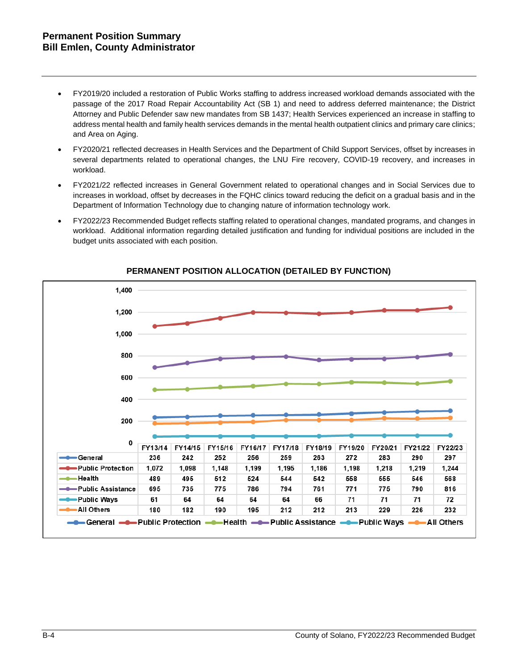## **Permanent Position Summary Bill Emlen, County Administrator**

- FY2019/20 included a restoration of Public Works staffing to address increased workload demands associated with the passage of the 2017 Road Repair Accountability Act (SB 1) and need to address deferred maintenance; the District Attorney and Public Defender saw new mandates from SB 1437; Health Services experienced an increase in staffing to address mental health and family health services demands in the mental health outpatient clinics and primary care clinics; and Area on Aging.
- FY2020/21 reflected decreases in Health Services and the Department of Child Support Services, offset by increases in several departments related to operational changes, the LNU Fire recovery, COVID-19 recovery, and increases in workload.
- FY2021/22 reflected increases in General Government related to operational changes and in Social Services due to increases in workload, offset by decreases in the FQHC clinics toward reducing the deficit on a gradual basis and in the Department of Information Technology due to changing nature of information technology work.
- FY2022/23 Recommended Budget reflects staffing related to operational changes, mandated programs, and changes in workload. Additional information regarding detailed justification and funding for individual positions are included in the budget units associated with each position.



## **PERMANENT POSITION ALLOCATION (DETAILED BY FUNCTION)**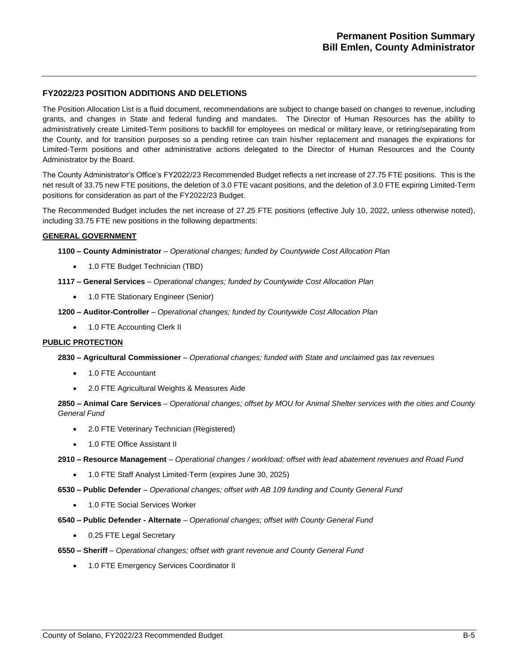## **FY2022/23 POSITION ADDITIONS AND DELETIONS**

The Position Allocation List is a fluid document, recommendations are subject to change based on changes to revenue, including grants, and changes in State and federal funding and mandates. The Director of Human Resources has the ability to administratively create Limited-Term positions to backfill for employees on medical or military leave, or retiring/separating from the County, and for transition purposes so a pending retiree can train his/her replacement and manages the expirations for Limited-Term positions and other administrative actions delegated to the Director of Human Resources and the County Administrator by the Board.

The County Administrator's Office's FY2022/23 Recommended Budget reflects a net increase of 27.75 FTE positions. This is the net result of 33.75 new FTE positions, the deletion of 3.0 FTE vacant positions, and the deletion of 3.0 FTE expiring Limited-Term positions for consideration as part of the FY2022/23 Budget.

The Recommended Budget includes the net increase of 27.25 FTE positions (effective July 10, 2022, unless otherwise noted), including 33.75 FTE new positions in the following departments:

## **GENERAL GOVERNMENT**

**1100 – County Administrator** *– Operational changes; funded by Countywide Cost Allocation Plan*

- 1.0 FTE Budget Technician (TBD)
- **1117 – General Services** *– Operational changes; funded by Countywide Cost Allocation Plan*
	- 1.0 FTE Stationary Engineer (Senior)

**1200 – Auditor-Controller** *– Operational changes; funded by Countywide Cost Allocation Plan*

• 1.0 FTE Accounting Clerk II

## **PUBLIC PROTECTION**

**2830 – Agricultural Commissioner** *– Operational changes; funded with State and unclaimed gas tax revenues*

- 1.0 FTE Accountant
- 2.0 FTE Agricultural Weights & Measures Aide

**2850 – Animal Care Services** *– Operational changes; offset by MOU for Animal Shelter services with the cities and County General Fund*

- 2.0 FTE Veterinary Technician (Registered)
- 1.0 FTE Office Assistant II

**2910 – Resource Management** *– Operational changes / workload; offset with lead abatement revenues and Road Fund*

• 1.0 FTE Staff Analyst Limited-Term (expires June 30, 2025)

**6530 – Public Defender** *– Operational changes; offset with AB 109 funding and County General Fund*

- 1.0 FTE Social Services Worker
- **6540 – Public Defender - Alternate** *– Operational changes; offset with County General Fund*
	- 0.25 FTE Legal Secretary
- **6550 – Sheriff** *– Operational changes; offset with grant revenue and County General Fund*
	- 1.0 FTE Emergency Services Coordinator II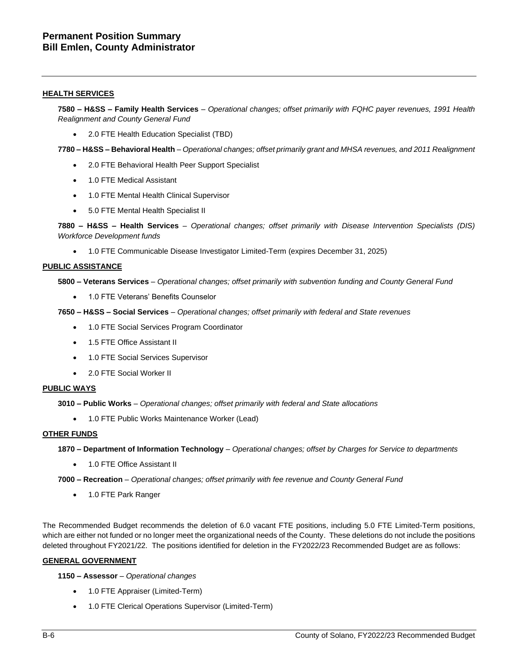### **HEALTH SERVICES**

**7580 – H&SS – Family Health Services** *– Operational changes; offset primarily with FQHC payer revenues, 1991 Health Realignment and County General Fund*

• 2.0 FTE Health Education Specialist (TBD)

**7780 – H&SS – Behavioral Health** *– Operational changes; offset primarily grant and MHSA revenues, and 2011 Realignment*

- 2.0 FTE Behavioral Health Peer Support Specialist
- 1.0 FTE Medical Assistant
- 1.0 FTE Mental Health Clinical Supervisor
- 5.0 FTE Mental Health Specialist II

**7880 – H&SS – Health Services** *– Operational changes; offset primarily with Disease Intervention Specialists (DIS) Workforce Development funds*

• 1.0 FTE Communicable Disease Investigator Limited-Term (expires December 31, 2025)

#### **PUBLIC ASSISTANCE**

**5800 – Veterans Services** *– Operational changes; offset primarily with subvention funding and County General Fund*

• 1.0 FTE Veterans' Benefits Counselor

**7650 – H&SS – Social Services** *– Operational changes; offset primarily with federal and State revenues*

- 1.0 FTE Social Services Program Coordinator
- 1.5 FTE Office Assistant II
- 1.0 FTE Social Services Supervisor
- 2.0 FTE Social Worker II

#### **PUBLIC WAYS**

**3010 – Public Works** *– Operational changes; offset primarily with federal and State allocations* 

• 1.0 FTE Public Works Maintenance Worker (Lead)

#### **OTHER FUNDS**

**1870 – Department of Information Technology** *– Operational changes; offset by Charges for Service to departments*

- 1.0 FTE Office Assistant II
- **7000 – Recreation** *– Operational changes; offset primarily with fee revenue and County General Fund*
	- 1.0 FTE Park Ranger

The Recommended Budget recommends the deletion of 6.0 vacant FTE positions, including 5.0 FTE Limited-Term positions, which are either not funded or no longer meet the organizational needs of the County. These deletions do not include the positions deleted throughout FY2021/22. The positions identified for deletion in the FY2022/23 Recommended Budget are as follows:

## **GENERAL GOVERNMENT**

**1150 – Assessor** *– Operational changes*

- 1.0 FTE Appraiser (Limited-Term)
- 1.0 FTE Clerical Operations Supervisor (Limited-Term)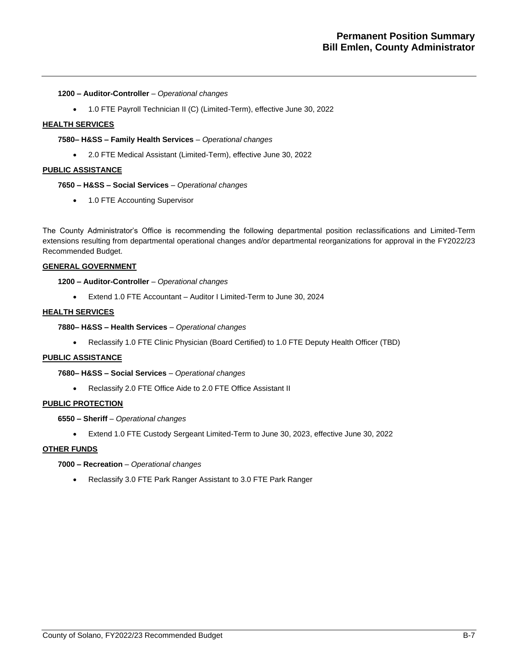#### **1200 – Auditor-Controller** *– Operational changes*

• 1.0 FTE Payroll Technician II (C) (Limited-Term), effective June 30, 2022

#### **HEALTH SERVICES**

## **7580– H&SS – Family Health Services** *– Operational changes*

• 2.0 FTE Medical Assistant (Limited-Term), effective June 30, 2022

#### **PUBLIC ASSISTANCE**

#### **7650 – H&SS – Social Services** *– Operational changes*

• 1.0 FTE Accounting Supervisor

The County Administrator's Office is recommending the following departmental position reclassifications and Limited-Term extensions resulting from departmental operational changes and/or departmental reorganizations for approval in the FY2022/23 Recommended Budget.

## **GENERAL GOVERNMENT**

## **1200 – Auditor-Controller** *– Operational changes*

• Extend 1.0 FTE Accountant – Auditor I Limited-Term to June 30, 2024

## **HEALTH SERVICES**

#### **7880– H&SS – Health Services** *– Operational changes*

• Reclassify 1.0 FTE Clinic Physician (Board Certified) to 1.0 FTE Deputy Health Officer (TBD)

## **PUBLIC ASSISTANCE**

#### **7680– H&SS – Social Services** *– Operational changes*

• Reclassify 2.0 FTE Office Aide to 2.0 FTE Office Assistant II

## **PUBLIC PROTECTION**

**6550 – Sheriff** *– Operational changes*

• Extend 1.0 FTE Custody Sergeant Limited-Term to June 30, 2023, effective June 30, 2022

## **OTHER FUNDS**

## **7000 – Recreation** *– Operational changes*

• Reclassify 3.0 FTE Park Ranger Assistant to 3.0 FTE Park Ranger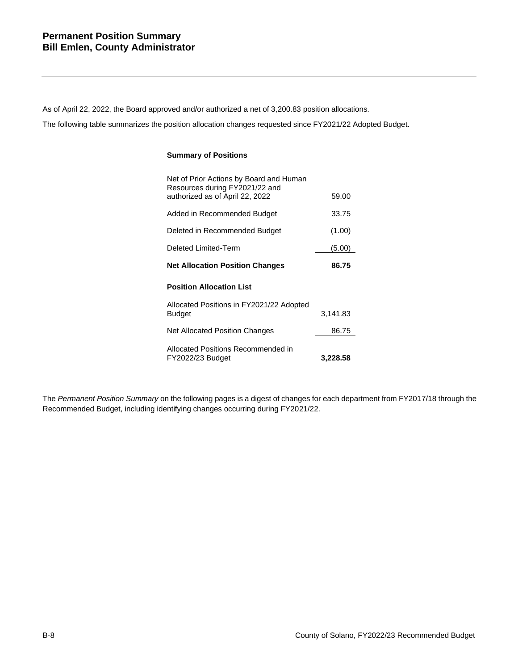As of April 22, 2022, the Board approved and/or authorized a net of 3,200.83 position allocations.

The following table summarizes the position allocation changes requested since FY2021/22 Adopted Budget.

## **Summary of Positions**

| Net of Prior Actions by Board and Human<br>Resources during FY2021/22 and |          |
|---------------------------------------------------------------------------|----------|
| authorized as of April 22, 2022                                           | 59.00    |
| Added in Recommended Budget                                               | 33.75    |
| Deleted in Recommended Budget                                             | (1.00)   |
| Deleted Limited-Term                                                      | (5.00)   |
| <b>Net Allocation Position Changes</b>                                    | 86.75    |
| <b>Position Allocation List</b>                                           |          |
| Allocated Positions in FY2021/22 Adopted                                  |          |
| <b>Budget</b>                                                             | 3,141.83 |
| <b>Net Allocated Position Changes</b>                                     | 86.75    |
| Allocated Positions Recommended in<br>FY2022/23 Budget                    | 3,228.58 |

The *Permanent Position Summary* on the following pages is a digest of changes for each department from FY2017/18 through the Recommended Budget, including identifying changes occurring during FY2021/22.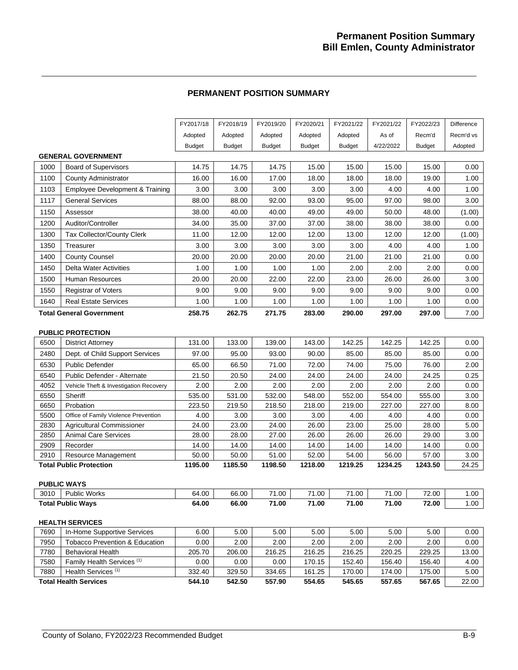## **PERMANENT POSITION SUMMARY**

|      |                                            | FY2017/18     | FY2018/19     | FY2019/20     | FY2020/21     | FY2021/22     | FY2021/22 | FY2022/23     | Difference |
|------|--------------------------------------------|---------------|---------------|---------------|---------------|---------------|-----------|---------------|------------|
|      |                                            | Adopted       | Adopted       | Adopted       | Adopted       | Adopted       | As of     | Recm'd        | Recm'd vs  |
|      |                                            | <b>Budget</b> | <b>Budget</b> | <b>Budget</b> | <b>Budget</b> | <b>Budget</b> | 4/22/2022 | <b>Budget</b> | Adopted    |
|      | <b>GENERAL GOVERNMENT</b>                  |               |               |               |               |               |           |               |            |
| 1000 | <b>Board of Supervisors</b>                | 14.75         | 14.75         | 14.75         | 15.00         | 15.00         | 15.00     | 15.00         | 0.00       |
| 1100 | County Administrator                       | 16.00         | 16.00         | 17.00         | 18.00         | 18.00         | 18.00     | 19.00         | 1.00       |
| 1103 | <b>Employee Development &amp; Training</b> | 3.00          | 3.00          | 3.00          | 3.00          | 3.00          | 4.00      | 4.00          | 1.00       |
| 1117 | <b>General Services</b>                    | 88.00         | 88.00         | 92.00         | 93.00         | 95.00         | 97.00     | 98.00         | 3.00       |
| 1150 | Assessor                                   | 38.00         | 40.00         | 40.00         | 49.00         | 49.00         | 50.00     | 48.00         | (1.00)     |
| 1200 | Auditor/Controller                         | 34.00         | 35.00         | 37.00         | 37.00         | 38.00         | 38.00     | 38.00         | 0.00       |
| 1300 | Tax Collector/County Clerk                 | 11.00         | 12.00         | 12.00         | 12.00         | 13.00         | 12.00     | 12.00         | (1.00)     |
| 1350 | Treasurer                                  | 3.00          | 3.00          | 3.00          | 3.00          | 3.00          | 4.00      | 4.00          | 1.00       |
| 1400 | <b>County Counsel</b>                      | 20.00         | 20.00         | 20.00         | 20.00         | 21.00         | 21.00     | 21.00         | 0.00       |
| 1450 | <b>Delta Water Activities</b>              | 1.00          | 1.00          | 1.00          | 1.00          | 2.00          | 2.00      | 2.00          | 0.00       |
| 1500 | Human Resources                            | 20.00         | 20.00         | 22.00         | 22.00         | 23.00         | 26.00     | 26.00         | 3.00       |
| 1550 | <b>Registrar of Voters</b>                 | 9.00          | 9.00          | 9.00          | 9.00          | 9.00          | 9.00      | 9.00          | 0.00       |
| 1640 | <b>Real Estate Services</b>                | 1.00          | 1.00          | 1.00          | 1.00          | 1.00          | 1.00      | 1.00          | 0.00       |
|      | <b>Total General Government</b>            | 258.75        | 262.75        | 271.75        | 283.00        | 290.00        | 297.00    | 297.00        | 7.00       |
|      |                                            |               |               |               |               |               |           |               |            |
|      | <b>PUBLIC PROTECTION</b>                   |               |               |               |               |               |           |               |            |
| 6500 | <b>District Attorney</b>                   | 131.00        | 133.00        | 139.00        | 143.00        | 142.25        | 142.25    | 142.25        | 0.00       |
| 2480 | Dept. of Child Support Services            | 97.00         | 95.00         | 93.00         | 90.00         | 85.00         | 85.00     | 85.00         | 0.00       |
| 6530 | <b>Public Defender</b>                     | 65.00         | 66.50         | 71.00         | 72.00         | 74.00         | 75.00     | 76.00         | 2.00       |
| 6540 | Public Defender - Alternate                | 21.50         | 20.50         | 24.00         | 24.00         | 24.00         | 24.00     | 24.25         | 0.25       |
| 4052 | Vehicle Theft & Investigation Recovery     | 2.00          | 2.00          | 2.00          | 2.00          | 2.00          | 2.00      | 2.00          | 0.00       |
| 6550 | Sheriff                                    | 535.00        | 531.00        | 532.00        | 548.00        | 552.00        | 554.00    | 555.00        | 3.00       |
| 6650 | Probation                                  | 223.50        | 219.50        | 218.50        | 218.00        | 219.00        | 227.00    | 227.00        | 8.00       |
| 5500 | Office of Family Violence Prevention       | 4.00          | 3.00          | 3.00          | 3.00          | 4.00          | 4.00      | 4.00          | 0.00       |
| 2830 | Agricultural Commissioner                  | 24.00         | 23.00         | 24.00         | 26.00         | 23.00         | 25.00     | 28.00         | 5.00       |
| 2850 | <b>Animal Care Services</b>                | 28.00         | 28.00         | 27.00         | 26.00         | 26.00         | 26.00     | 29.00         | 3.00       |
| 2909 | Recorder                                   | 14.00         | 14.00         | 14.00         | 14.00         | 14.00         | 14.00     | 14.00         | 0.00       |
| 2910 | Resource Management                        | 50.00         | 50.00         | 51.00         | 52.00         | 54.00         | 56.00     | 57.00         | 3.00       |
|      | <b>Total Public Protection</b>             | 1195.00       | 1185.50       | 1198.50       | 1218.00       | 1219.25       | 1234.25   | 1243.50       | 24.25      |
|      | <b>PUBLIC WAYS</b>                         |               |               |               |               |               |           |               |            |
| 3010 | <b>Public Works</b>                        | 64.00         | 66.00         | 71.00         | 71.00         | 71.00         | 71.00     | 72.00         | 1.00       |
|      | <b>Total Public Ways</b>                   | 64.00         | 66.00         | 71.00         | 71.00         | 71.00         | 71.00     | 72.00         | 1.00       |
|      |                                            |               |               |               |               |               |           |               |            |
|      | <b>HEALTH SERVICES</b>                     |               |               |               |               |               |           |               |            |
| 7690 | In-Home Supportive Services                | 6.00          | 5.00          | 5.00          | 5.00          | 5.00          | 5.00      | 5.00          | 0.00       |
| 7950 | <b>Tobacco Prevention &amp; Education</b>  | 0.00          | 2.00          | 2.00          | 2.00          | 2.00          | 2.00      | 2.00          | 0.00       |
| 7780 | <b>Behavioral Health</b>                   | 205.70        | 206.00        | 216.25        | 216.25        | 216.25        | 220.25    | 229.25        | 13.00      |
| 7580 | Family Health Services <sup>(1)</sup>      | 0.00          | 0.00          | 0.00          | 170.15        | 152.40        | 156.40    | 156.40        | 4.00       |
| 7880 | Health Services <sup>(1)</sup>             | 332.40        | 329.50        | 334.65        | 161.25        | 170.00        | 174.00    | 175.00        | 5.00       |
|      | <b>Total Health Services</b>               | 544.10        | 542.50        | 557.90        | 554.65        | 545.65        | 557.65    | 567.65        | 22.00      |